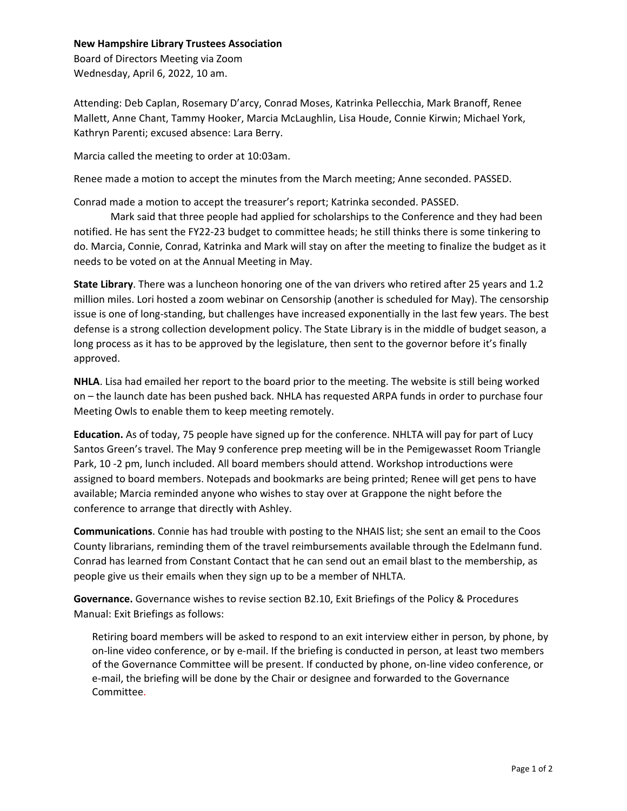## **New Hampshire Library Trustees Association**

Board of Directors Meeting via Zoom Wednesday, April 6, 2022, 10 am.

Attending: Deb Caplan, Rosemary D'arcy, Conrad Moses, Katrinka Pellecchia, Mark Branoff, Renee Mallett, Anne Chant, Tammy Hooker, Marcia McLaughlin, Lisa Houde, Connie Kirwin; Michael York, Kathryn Parenti; excused absence: Lara Berry.

Marcia called the meeting to order at 10:03am.

Renee made a motion to accept the minutes from the March meeting; Anne seconded. PASSED.

Conrad made a motion to accept the treasurer's report; Katrinka seconded. PASSED.

 Mark said that three people had applied for scholarships to the Conference and they had been notified. He has sent the FY22-23 budget to committee heads; he still thinks there is some tinkering to do. Marcia, Connie, Conrad, Katrinka and Mark will stay on after the meeting to finalize the budget as it needs to be voted on at the Annual Meeting in May.

**State Library**. There was a luncheon honoring one of the van drivers who retired after 25 years and 1.2 million miles. Lori hosted a zoom webinar on Censorship (another is scheduled for May). The censorship issue is one of long-standing, but challenges have increased exponentially in the last few years. The best defense is a strong collection development policy. The State Library is in the middle of budget season, a long process as it has to be approved by the legislature, then sent to the governor before it's finally approved.

**NHLA**. Lisa had emailed her report to the board prior to the meeting. The website is still being worked on – the launch date has been pushed back. NHLA has requested ARPA funds in order to purchase four Meeting Owls to enable them to keep meeting remotely.

**Education.** As of today, 75 people have signed up for the conference. NHLTA will pay for part of Lucy Santos Green's travel. The May 9 conference prep meeting will be in the Pemigewasset Room Triangle Park, 10 -2 pm, lunch included. All board members should attend. Workshop introductions were assigned to board members. Notepads and bookmarks are being printed; Renee will get pens to have available; Marcia reminded anyone who wishes to stay over at Grappone the night before the conference to arrange that directly with Ashley.

**Communications**. Connie has had trouble with posting to the NHAIS list; she sent an email to the Coos County librarians, reminding them of the travel reimbursements available through the Edelmann fund. Conrad has learned from Constant Contact that he can send out an email blast to the membership, as people give us their emails when they sign up to be a member of NHLTA.

**Governance.** Governance wishes to revise section B2.10, Exit Briefings of the Policy & Procedures Manual: Exit Briefings as follows:

Retiring board members will be asked to respond to an exit interview either in person, by phone, by on-line video conference, or by e-mail. If the briefing is conducted in person, at least two members of the Governance Committee will be present. If conducted by phone, on-line video conference, or e-mail, the briefing will be done by the Chair or designee and forwarded to the Governance Committee.